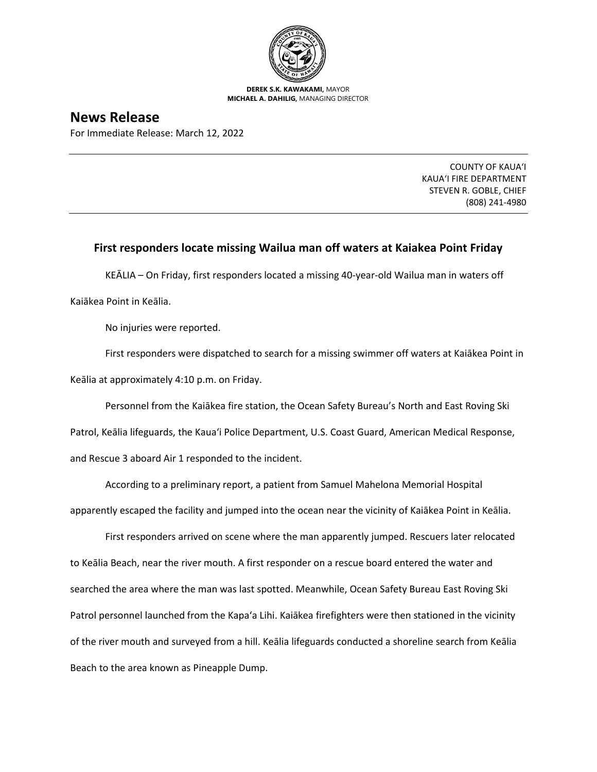

**DEREK S.K. KAWAKAMI,** MAYOR **MICHAEL A. DAHILIG,** MANAGING DIRECTOR

## **News Release**

For Immediate Release: March 12, 2022

COUNTY OF KAUA'I KAUA'I FIRE DEPARTMENT STEVEN R. GOBLE, CHIEF (808) 241-4980

## **First responders locate missing Wailua man off waters at Kaiakea Point Friday**

KEĀLIA – On Friday, first responders located a missing 40-year-old Wailua man in waters off Kaiākea Point in Keālia.

No injuries were reported.

First responders were dispatched to search for a missing swimmer off waters at Kaiākea Point in Keālia at approximately 4:10 p.m. on Friday.

Personnel from the Kaiākea fire station, the Ocean Safety Bureau's North and East Roving Ski Patrol, Keālia lifeguards, the Kaua'i Police Department, U.S. Coast Guard, American Medical Response, and Rescue 3 aboard Air 1 responded to the incident.

According to a preliminary report, a patient from Samuel Mahelona Memorial Hospital apparently escaped the facility and jumped into the ocean near the vicinity of Kaiākea Point in Keālia.

First responders arrived on scene where the man apparently jumped. Rescuers later relocated to Keālia Beach, near the river mouth. A first responder on a rescue board entered the water and searched the area where the man was last spotted. Meanwhile, Ocean Safety Bureau East Roving Ski Patrol personnel launched from the Kapa'a Lihi. Kaiākea firefighters were then stationed in the vicinity of the river mouth and surveyed from a hill. Keālia lifeguards conducted a shoreline search from Keālia Beach to the area known as Pineapple Dump.